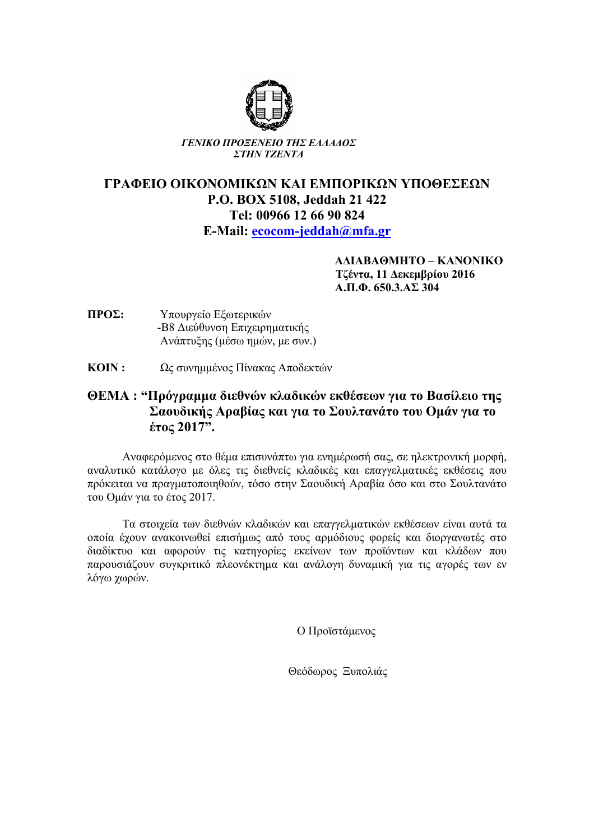

*ΓΕΝΙΚΟ ΠΡΟΞΕΝΕΙΟ ΤΗΣ ΕΛΛΑ∆ΟΣ ΣΤΗΝ ΤΖΕΝΤΑ*

## **ΓΡΑΦΕΙΟ ΟΙΚΟΝΟΜΙΚΩΝ ΚΑΙ ΕΜΠΟΡΙΚΩΝ ΥΠΟΘΕΣΕΩΝ P.O. BOX 5108, Jeddah 21 422 Tel: 00966 12 66 90 824 E-Mail: ecocom-jeddah@mfa.gr**

 **Α∆ΙΑΒΑΘΜΗΤΟ – ΚΑΝΟΝΙΚΟ Τζέντα, 11 ∆εκεµβρίου 2016 Α.Π.Φ. 650.3.ΑΣ 304** 

- **ΠΡΟΣ:** Υπουργείο Εξωτερικών -Β8 ∆ιεύθυνση Επιχειρηµατικής Ανάπτυξης (µέσω ηµών, µε συν.)
- **ΚΟΙΝ :** Ως συνηµµένος Πίνακας Αποδεκτών

## **ΘΕΜΑ : "Πρόγραµµα διεθνών κλαδικών εκθέσεων για το Βασίλειο της Σαουδικής Αραβίας και για το Σουλτανάτο του Οµάν για το έτος 2017".**

Αναφερόµενος στο θέµα επισυνάπτω για ενηµέρωσή σας, σε ηλεκτρονική µορφή, αναλυτικό κατάλογο µε όλες τις διεθνείς κλαδικές και επαγγελµατικές εκθέσεις που πρόκειται να πραγµατοποιηθούν, τόσο στην Σαουδική Αραβία όσο και στο Σουλτανάτο του Οµάν για το έτος 2017.

Τα στοιχεία των διεθνών κλαδικών και επαγγελµατικών εκθέσεων είναι αυτά τα οποία έχουν ανακοινωθεί επισήµως από τους αρµόδιους φορείς και διοργανωτές στο διαδίκτυο και αφορούν τις κατηγορίες εκείνων των προϊόντων και κλάδων που παρουσιάζουν συγκριτικό πλεονέκτηµα και ανάλογη δυναµική για τις αγορές των εν λόγω χωρών.

Ο Προϊστάµενος

Θεόδωρος Ξυπολιάς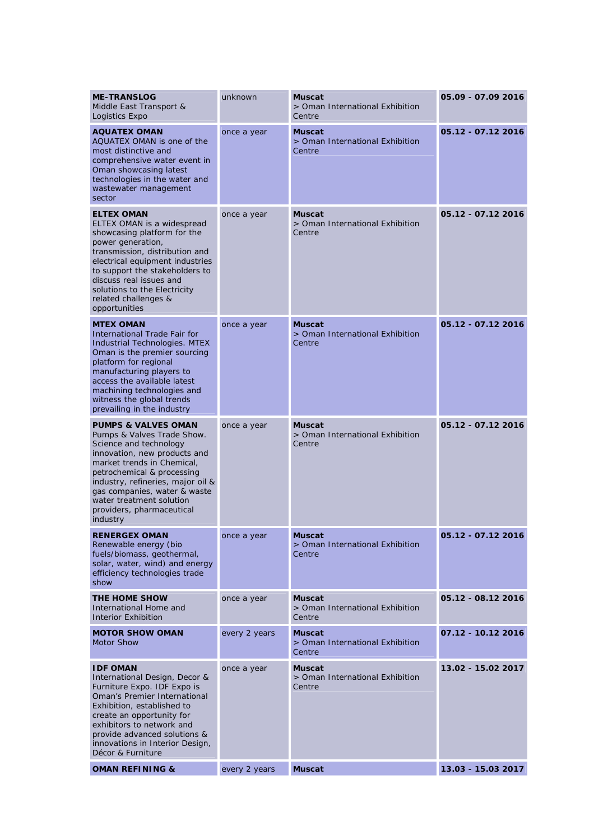| <b>ME-TRANSLOG</b><br>Middle East Transport &<br>Logistics Expo                                                                                                                                                                                                                                                              | unknown       | <b>Muscat</b><br>> Oman International Exhibition<br>Centre | 05.09 - 07.09 2016 |
|------------------------------------------------------------------------------------------------------------------------------------------------------------------------------------------------------------------------------------------------------------------------------------------------------------------------------|---------------|------------------------------------------------------------|--------------------|
| <b>AQUATEX OMAN</b><br>AQUATEX OMAN is one of the<br>most distinctive and<br>comprehensive water event in<br>Oman showcasing latest<br>technologies in the water and<br>wastewater management<br>sector                                                                                                                      | once a year   | <b>Muscat</b><br>> Oman International Exhibition<br>Centre | 05.12 - 07.12 2016 |
| <b>ELTEX OMAN</b><br>ELTEX OMAN is a widespread<br>showcasing platform for the<br>power generation,<br>transmission, distribution and<br>electrical equipment industries<br>to support the stakeholders to<br>discuss real issues and<br>solutions to the Electricity<br>related challenges &<br>opportunities               | once a year   | <b>Muscat</b><br>> Oman International Exhibition<br>Centre | 05.12 - 07.12 2016 |
| <b>MTEX OMAN</b><br><b>International Trade Fair for</b><br><b>Industrial Technologies. MTEX</b><br>Oman is the premier sourcing<br>platform for regional<br>manufacturing players to<br>access the available latest<br>machining technologies and<br>witness the global trends<br>prevailing in the industry                 | once a year   | <b>Muscat</b><br>> Oman International Exhibition<br>Centre | 05.12 - 07.12 2016 |
| <b>PUMPS &amp; VALVES OMAN</b><br>Pumps & Valves Trade Show.<br>Science and technology<br>innovation, new products and<br>market trends in Chemical,<br>petrochemical & processing<br>industry, refineries, major oil &<br>gas companies, water & waste<br>water treatment solution<br>providers, pharmaceutical<br>industry | once a year   | <b>Muscat</b><br>> Oman International Exhibition<br>Centre | 05.12 - 07.12 2016 |
| <b>RENERGEX OMAN</b><br>Renewable energy (bio<br>fuels/biomass, geothermal,<br>solar, water, wind) and energy<br>efficiency technologies trade<br>show                                                                                                                                                                       | once a year   | <b>Muscat</b><br>> Oman International Exhibition<br>Centre | 05.12 - 07.12 2016 |
| THE HOME SHOW<br>International Home and<br><b>Interior Exhibition</b>                                                                                                                                                                                                                                                        | once a year   | <b>Muscat</b><br>> Oman International Exhibition<br>Centre | 05.12 - 08.12 2016 |
| <b>MOTOR SHOW OMAN</b><br><b>Motor Show</b>                                                                                                                                                                                                                                                                                  | every 2 years | <b>Muscat</b><br>> Oman International Exhibition<br>Centre | 07.12 - 10.12 2016 |
| <b>IDF OMAN</b><br>International Design, Decor &<br>Furniture Expo. IDF Expo is<br>Oman's Premier International<br>Exhibition, established to<br>create an opportunity for<br>exhibitors to network and<br>provide advanced solutions &<br>innovations in Interior Design,<br>Décor & Furniture                              | once a year   | <b>Muscat</b><br>> Oman International Exhibition<br>Centre | 13.02 - 15.02 2017 |
| <b>OMAN REFINING &amp;</b>                                                                                                                                                                                                                                                                                                   | every 2 years | <b>Muscat</b>                                              | 13.03 - 15.03 2017 |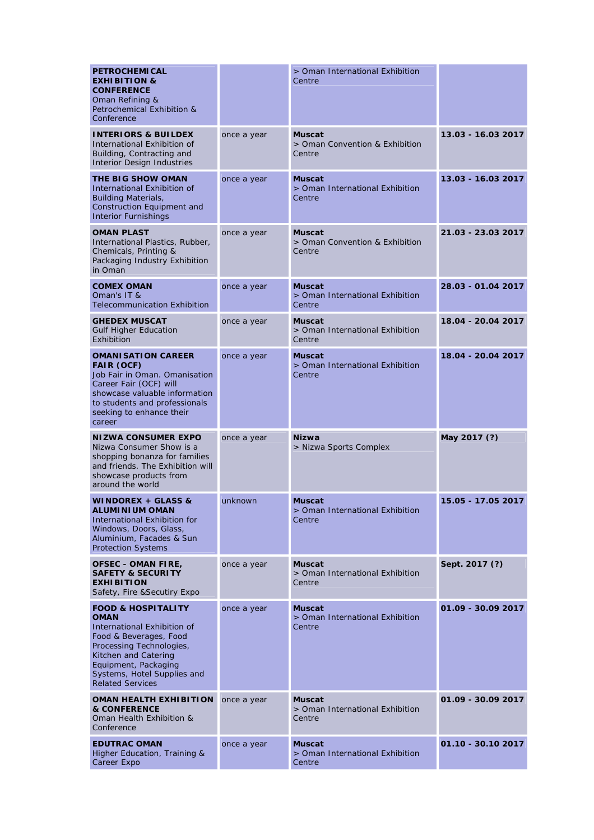| <b>PETROCHEMICAL</b><br><b>EXHIBITION &amp;</b><br><b>CONFERENCE</b><br>Oman Refining &<br><b>Petrochemical Exhibition &amp;</b><br>Conference                                                                                              |             | > Oman International Exhibition<br>Centre                  |                    |
|---------------------------------------------------------------------------------------------------------------------------------------------------------------------------------------------------------------------------------------------|-------------|------------------------------------------------------------|--------------------|
| <b>INTERIORS &amp; BUILDEX</b><br>International Exhibition of<br>Building, Contracting and<br><b>Interior Design Industries</b>                                                                                                             | once a year | <b>Muscat</b><br>> Oman Convention & Exhibition<br>Centre  | 13.03 - 16.03 2017 |
| <b>THE BIG SHOW OMAN</b><br>International Exhibition of<br><b>Building Materials,</b><br>Construction Equipment and<br><b>Interior Furnishings</b>                                                                                          | once a year | Muscat<br>> Oman International Exhibition<br>Centre        | 13.03 - 16.03 2017 |
| <b>OMAN PLAST</b><br>International Plastics, Rubber,<br>Chemicals, Printing &<br>Packaging Industry Exhibition<br>in Oman                                                                                                                   | once a year | Muscat<br>> Oman Convention & Exhibition<br>Centre         | 21.03 - 23.03 2017 |
| <b>COMEX OMAN</b><br>Oman's IT &<br><b>Telecommunication Exhibition</b>                                                                                                                                                                     | once a year | <b>Muscat</b><br>> Oman International Exhibition<br>Centre | 28.03 - 01.04 2017 |
| <b>GHEDEX MUSCAT</b><br><b>Gulf Higher Education</b><br>Exhibition                                                                                                                                                                          | once a year | <b>Muscat</b><br>> Oman International Exhibition<br>Centre | 18.04 - 20.04 2017 |
| <b>OMANISATION CAREER</b><br><b>FAIR (OCF)</b><br>Job Fair in Oman. Omanisation<br>Career Fair (OCF) will<br>showcase valuable information<br>to students and professionals<br>seeking to enhance their<br>career                           | once a year | <b>Muscat</b><br>> Oman International Exhibition<br>Centre | 18.04 - 20.04 2017 |
| <b>NIZWA CONSUMER EXPO</b><br>Nizwa Consumer Show is a<br>shopping bonanza for families<br>and friends. The Exhibition will<br>showcase products from<br>around the world                                                                   | once a year | <b>Nizwa</b><br>> Nizwa Sports Complex                     | May 2017 (?)       |
| WINDOREX + GLASS &<br><b>ALUMINIUM OMAN</b><br>International Exhibition for<br>Windows, Doors, Glass,<br>Aluminium, Facades & Sun<br><b>Protection Systems</b>                                                                              | unknown     | Muscat<br>Oman International Exhibition<br>Centre          | 15.05 - 17.05 2017 |
| <b>OFSEC - OMAN FIRE,</b><br><b>SAFETY &amp; SECURITY</b><br><b>EXHIBITION</b><br>Safety, Fire & Secutiry Expo                                                                                                                              | once a year | <b>Muscat</b><br>> Oman International Exhibition<br>Centre | Sept. 2017 (?)     |
| <b>FOOD &amp; HOSPITALITY</b><br><b>OMAN</b><br>International Exhibition of<br>Food & Beverages, Food<br>Processing Technologies,<br>Kitchen and Catering<br>Equipment, Packaging<br>Systems, Hotel Supplies and<br><b>Related Services</b> | once a year | <b>Muscat</b><br>> Oman International Exhibition<br>Centre | 01.09 - 30.09 2017 |
| <b>OMAN HEALTH EXHIBITION</b>                                                                                                                                                                                                               |             |                                                            | 01.09 - 30.09 2017 |
| <b>&amp; CONFERENCE</b><br>Oman Health Exhibition &<br>Conference                                                                                                                                                                           | once a year | Muscat<br>> Oman International Exhibition<br>Centre        |                    |